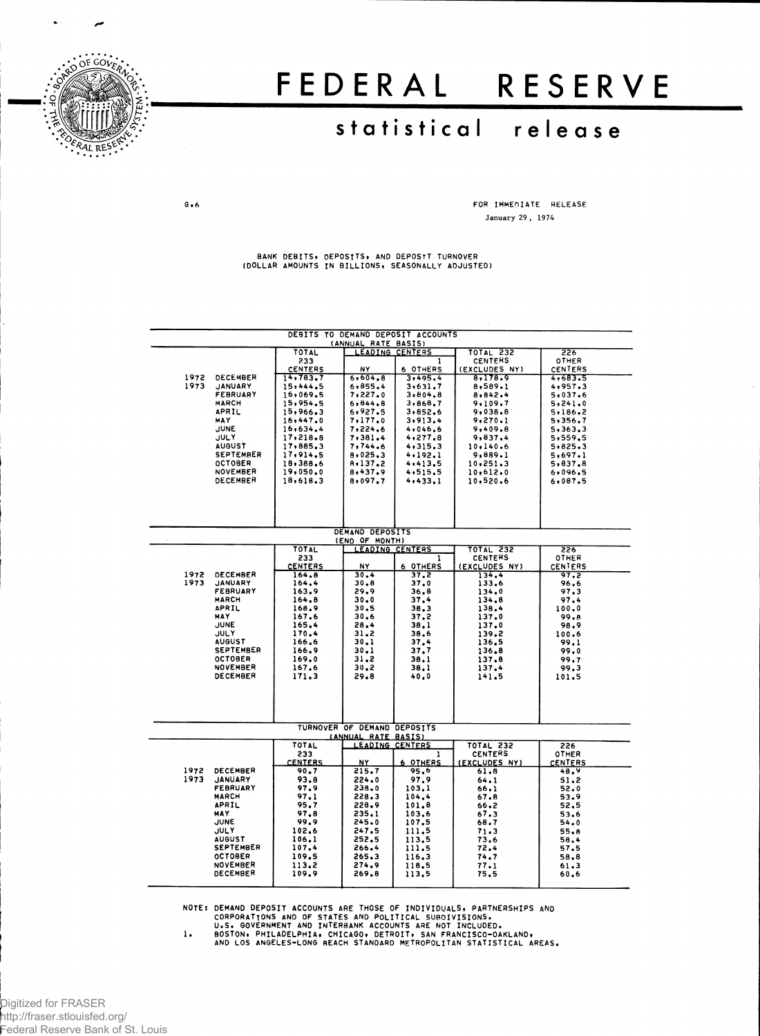

سر

# FEDERA L RESERV E

## **statistica l releas e**

 $G \bullet 6$ 

**FOR IMMEDIATE RELEASE January 29 , 1974**

**BANK DEBITS, DEPOSITS, AND DEPOSIT TURNOVER (DOLLAR AMOUNTS IN BILLIONS, SEASONALLY ADJUSTED)**

|                                                     |                                   |                       | (ANNUAL RATE BASIS)               | DEBITS TO DEMAND DEPOSIT ACCOUNTS |                        |                         |  |  |  |  |
|-----------------------------------------------------|-----------------------------------|-----------------------|-----------------------------------|-----------------------------------|------------------------|-------------------------|--|--|--|--|
| TOTAL<br>LEADING CENTERS<br><b>TOTAL 232</b><br>226 |                                   |                       |                                   |                                   |                        |                         |  |  |  |  |
|                                                     |                                   | 233                   |                                   |                                   | <b>CENTERS</b>         | <b>OTHER</b>            |  |  |  |  |
|                                                     |                                   | <b>CENTERS</b>        | NY                                | 6 OTHERS                          | (EXCLUDES NY)          | CENTERS                 |  |  |  |  |
| 1972                                                | DECEMBER                          | 14,783,7              | 6,604.8                           | 3,495.4                           | 8,178.9                | 4,683.5                 |  |  |  |  |
| 1973                                                | <b>JANUARY</b><br><b>FEBRUARY</b> | 15,444.5<br>16,069.5  | 6,855.4<br>7,227.0                | 3.631.7<br>3.804.8                | 8,589.1<br>8,842.4     | 4,957.3<br>5,037.6      |  |  |  |  |
|                                                     | <b>MARCH</b>                      | 15,954.5              | 6,844.8                           | 3,868.7                           | 9.109.7                | 5, 241.0                |  |  |  |  |
|                                                     | APRIL                             | 15,966.3              | 6,927.5                           | 3,852.6                           | 9,038.8                | 5.186.2                 |  |  |  |  |
|                                                     | MAY                               | 16, 447.0             | 7,177,0                           | 3,913.4                           | 9,270.1                | 5,356.7                 |  |  |  |  |
|                                                     | JUNE                              | 16,634.4              | 7,224.6                           | 4,046,6                           | 9,409.8                | 5,363.3                 |  |  |  |  |
|                                                     | <b>JULY</b>                       | 17,218.8              | 7,381.4                           | 4, 277.8                          | 9,837.4                | 5,559.5                 |  |  |  |  |
|                                                     | <b>AUGUST</b>                     | 17,885.3              | 7,744.6                           | 4,315.3                           | 10,140.6               | 5,825.3                 |  |  |  |  |
|                                                     | <b>SEPTEMBER</b>                  | 17,914.5              | 8,025.3                           | 4,192.1                           | 9,889.1                | 5,697.1                 |  |  |  |  |
|                                                     | <b>OCTOBER</b>                    | 18,388.6              | 8,137.2                           | 4,413.5                           | 10,251.3               | 5,837.8                 |  |  |  |  |
|                                                     | <b>NOVEMBER</b><br>DECEMBER       | 19,050.0              | 8,437.9                           | 4,515.5                           | 10,612.0               | 6,096.5                 |  |  |  |  |
|                                                     |                                   | 18,618.3              | 8,097.7                           | 4,433.1                           | 10,520.6               | 6,087.5                 |  |  |  |  |
|                                                     |                                   |                       |                                   |                                   |                        |                         |  |  |  |  |
|                                                     |                                   |                       |                                   |                                   |                        |                         |  |  |  |  |
|                                                     |                                   |                       |                                   |                                   |                        |                         |  |  |  |  |
|                                                     |                                   |                       |                                   |                                   |                        |                         |  |  |  |  |
|                                                     |                                   |                       | DEMAND DEPOSITS<br>(END OF MONTH) |                                   |                        |                         |  |  |  |  |
|                                                     |                                   | TOTAL                 | <b>LEADING CENTERS</b>            |                                   | <b>TOTAL 232</b>       | 226                     |  |  |  |  |
|                                                     |                                   | 233<br><b>CENTERS</b> | N٢                                | 1                                 | <b>CENTERS</b>         | <b>OTHER</b><br>CENTERS |  |  |  |  |
| 1972                                                | <b>DECEMBER</b>                   | 164.8                 | 30.4                              | 6 OTHERS<br>37.2                  | (EXCLUDES NY)<br>134.4 | 97.2                    |  |  |  |  |
| 1973                                                | <b>JANUARY</b>                    | 164.4                 | 30.8                              | 37.0                              | 133.6                  | 96.6                    |  |  |  |  |
|                                                     | <b>FEBRUARY</b>                   | 163.9                 | 29.9                              | 36.8                              | 134.0                  | 97.3                    |  |  |  |  |
|                                                     | <b>MARCH</b>                      | 164.8                 | 30.0                              | 37.4                              | 134.8                  | 97.4                    |  |  |  |  |
|                                                     | APRIL                             | 168.9                 | 30.5                              | 38.3                              | 138.4                  | 100.0                   |  |  |  |  |
|                                                     | MAY                               | 167.6                 | 30.6                              | 37.2                              | 137.0                  | 99.B                    |  |  |  |  |
|                                                     | <b>JUNE</b>                       | 165.4                 | 28.4                              | 38.1                              | 137.0                  | 98.9                    |  |  |  |  |
|                                                     | <b>JULY</b><br><b>AUGUST</b>      | 170.4<br>166.6        | 31.2<br>30.1                      | 38.6<br>37.4                      | 139.2<br>136.5         | 100.6<br>99.1           |  |  |  |  |
|                                                     | <b>SEPTEMBER</b>                  | 166.9                 | 30.1                              | 37.7                              | 136.8                  | 99.0                    |  |  |  |  |
|                                                     | <b>OCTOBER</b>                    | 169.0                 | 31,2                              | 36.1                              | 137.8                  | 99.7                    |  |  |  |  |
|                                                     | <b>NOVEMBER</b>                   | 167.6                 | 30.2                              | 38.1                              | 137.4                  | 99.3                    |  |  |  |  |
|                                                     | DECEMBER                          | 171.3                 | 29.8                              | 40.0                              | 141.5                  | 101.5                   |  |  |  |  |
|                                                     |                                   |                       |                                   |                                   |                        |                         |  |  |  |  |
|                                                     |                                   |                       |                                   |                                   |                        |                         |  |  |  |  |
|                                                     |                                   |                       | TURNOVER OF DEMAND DEPOSITS       |                                   |                        |                         |  |  |  |  |
|                                                     |                                   |                       | (ANNUAL RATE BASIS)               |                                   |                        |                         |  |  |  |  |
|                                                     |                                   | <b>TOTAL</b>          | <b>LEADING CENTERS</b>            |                                   | TOTAL 232              | 226                     |  |  |  |  |
|                                                     |                                   | 233                   |                                   | 1                                 | <b>CENTERS</b>         | <b>OTHER</b>            |  |  |  |  |
|                                                     |                                   | <b>CENTERS</b>        | NY                                | 6 OTHERS                          | (EXCLUDES NY)          | <b>CENTERS</b>          |  |  |  |  |
| 1972<br>1973                                        | DECEMBER<br><b>JANUARY</b>        | 90.7<br>93.8          | 215.7<br>224.0                    | 95.6                              | 61.8                   | 48.9                    |  |  |  |  |
|                                                     | <b>FEBRUARY</b>                   | 97.9                  | 238.0                             | 97.9<br>103.1                     | 64.1<br>66.1           | 51.2<br>52.0            |  |  |  |  |
|                                                     | <b>MARCH</b>                      | 97.1                  | 228.3                             | 104.4                             | 67.8                   | 53.9                    |  |  |  |  |
|                                                     | APRIL                             | 95.7                  | 228.9                             | 101.8                             | 66.2                   | 52.5                    |  |  |  |  |
|                                                     | MAY                               | 97.8                  | 235.1                             | 103.6                             | 67.3                   | 53.6                    |  |  |  |  |
|                                                     | JUNE                              | 99.9                  | 245.0                             | 107.5                             | 68.7                   | 54.0                    |  |  |  |  |
|                                                     | JULY                              | 102.6                 | 247.5                             | 111.5                             | 71.3                   | 55.8                    |  |  |  |  |
|                                                     | <b>AUGUST</b>                     | 106.1                 | 252,5                             | 113.5                             | 73.6                   | 58.4                    |  |  |  |  |
|                                                     | SEPTEMBER                         | 107.4                 | 266.4                             | 111.5                             | 72.4                   | 57.5                    |  |  |  |  |
|                                                     | <b>OCTOBER</b><br><b>NOVEMBER</b> | 109.5                 | 265.3                             | 116.3                             | 74.7                   | 58.8                    |  |  |  |  |
|                                                     | DECEMBER                          | 113.2<br>109.9        | 274.9<br>269.8                    | 118.5<br>113.5                    | 77.1<br>75.5           | 61.3<br>60.6            |  |  |  |  |
|                                                     |                                   |                       |                                   |                                   |                        |                         |  |  |  |  |

NOTE: DEMAND DEPOSIT ACCOUNTS ARE THOSE OF INDIVIDUALS, PARTNERSHIPS AND<br>CORPORATIONS AND OF STATES AND POLITICAL SURDIVISIONS.<br>U.S. GOVERNMENT AND INTERBANK ACCOUNTS ARE NOT INCLUDED.<br>1. BOSTON, PHILADELPHIA, CHICAGO, DET

Digitized for FRASER http://fraser.stlouisfed.org/ Federal Reserve Bank of St. Louis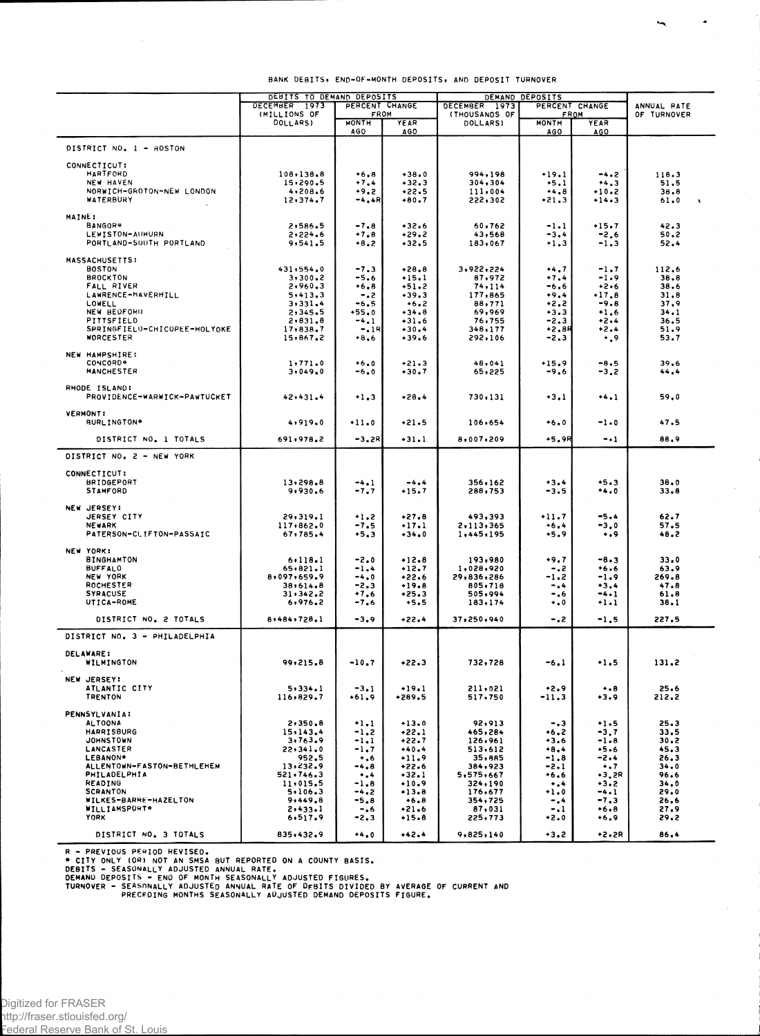|                                               | DEBITS TO DEMAND DEPOSITS |                      |                    | DEMAND DEPOSITS           |                      |                    |                              |  |
|-----------------------------------------------|---------------------------|----------------------|--------------------|---------------------------|----------------------|--------------------|------------------------------|--|
|                                               | DECEMBER 1973             | PERCENT CHANGE       |                    | DECEMBER 1973             | PERCENT CHANGE       |                    | ANNUAL RATE                  |  |
|                                               | (MILLIONS OF<br>DOLLARS)  | FROM<br><b>MONTH</b> | YEAR               | (THOUSANDS OF<br>DOLLARS) | FROM<br><b>MONTH</b> | YEAR               | OF TURNOVER                  |  |
|                                               |                           | <b>AGO</b>           | AGO                |                           | AGO                  | AGO                |                              |  |
|                                               |                           |                      |                    |                           |                      |                    |                              |  |
| DISTRICT NO. 1 - BOSTON                       |                           |                      |                    |                           |                      |                    |                              |  |
|                                               |                           |                      |                    |                           |                      |                    |                              |  |
| CONNECTICUT:<br><b>HARTFORD</b>               | 108,138.8                 |                      | $+38.0$            | 994,198                   | $+19.1$              |                    |                              |  |
| NEW HAVEN                                     | 15,290.5                  | $+6.8$<br>$+7.4$     | $+32.3$            | 304,304                   | $+5.1$               | -4.2<br>$+4.3$     | 118.3<br>51.5                |  |
| NORWICH-GROTON-NEW LONDON                     | 4, 208.6                  | $+9.2$               | $+22.5$            | 111,004                   | $+4.8$               | $+10.2$            | 38.8                         |  |
| WATERBURY                                     | 12,374.7                  | -4,4R                | $+80.7$            | 255,305                   | $+21.3$              | $+14.3$            | 61.0<br>$\ddot{\phantom{1}}$ |  |
|                                               |                           |                      |                    |                           |                      |                    |                              |  |
| MAINE:                                        |                           |                      |                    |                           |                      |                    |                              |  |
| BANGOR*                                       | 2,586.5                   | $-7.8$               | $+32.6$            | 60,762                    | -1.1                 | $+15.7$            | 42.3                         |  |
| LEWISTON-AUHURN                               | 2,224.6                   | $+7.8$               | $+29.2$            | 43,568                    | $-3.4$               | $-2.6$             | 50.2                         |  |
| PORTLAND-SOUTH PORTLAND                       | 9,541.5                   | $+8.2$               | $+32.5$            | 183,067                   | $+1.3$               | $-1.3$             | 52.4                         |  |
| MASSACHUSETTS:                                |                           |                      |                    |                           |                      |                    |                              |  |
| <b>BOSTON</b>                                 | 431,554.0                 | $-7.3$               | $+28.8$            | 3,922,224                 | $+4.7$               | $-1.7$             | 112.6                        |  |
| <b>BROCKTON</b>                               | 3,300.2                   | $-5.6$               | $+15.1$            | 87,972                    | $+7.4$               | $-1.9$             | 38,8                         |  |
| FALL RIVER                                    | 2,960.3                   | $+6.8$               | $+51.2$            | 74,114                    | -6.6                 | $+2.6$             | 38.6                         |  |
| LAWRENCE-HAVERHILL                            | 5,413.3                   | $-.2$                | $+39.3$            | 177,865                   | $+9.4$               | +17.8              | 31.8                         |  |
| LOWELL                                        | 3,331.4                   | $-6.5$               | $+6.2$             | 88,771                    | $+2.2$               | $-9.8$             | 37.9                         |  |
| NEW BEDFORD                                   | 2,345.5                   | $+55.0$              | $+34.8$            | 69,969                    | $+3.3$               | $*1.6$             | 34.1                         |  |
| PITTSFIELD                                    | 2,831.8                   | $-4.1$               | $-31.6$            | 76,755                    | $-2.3$               | $+2.4$             | 36.5                         |  |
| SPRINGFIELD-CHICOPEE-HOLYOKE                  | 17,838.7                  | $-.18$               | $+30.4$            | 348,177                   | +2.8R                | $+2.4$             | 51.9                         |  |
| WORCESTER                                     | 15,867.2                  | $+8,6$               | $+39.6$            | 292,106                   | $-2.3$               | $\cdot$ .9         | 53.7                         |  |
|                                               |                           |                      |                    |                           |                      |                    |                              |  |
| NEW HAMPSHIRE:<br>CONCORD*                    | 1,771.0                   | $+6.0$               | $+21.3$            | 48,041                    | $+15.9$              | $-8.5$             | 39.6                         |  |
| <b>MANCHESTER</b>                             | 3,049.0                   | -6.0                 | $+30.7$            | 65,225                    | -9.6                 | -3.2               | 44.4                         |  |
|                                               |                           |                      |                    |                           |                      |                    |                              |  |
| RHODE ISLAND:                                 |                           |                      |                    |                           |                      |                    |                              |  |
| PROVIDENCE-WARWICK-PAWTUCKET                  | 42,431.4                  | $+1.3$               | $+28.4$            | 730,131                   | $+3.1$               | $+4.1$             | 59.0                         |  |
|                                               |                           |                      |                    |                           |                      |                    |                              |  |
| <b>VERMONT:</b>                               |                           |                      |                    |                           |                      |                    |                              |  |
| <b>BURLINGTON*</b>                            | 4,919.0                   | $+11.0$              | $+21.5$            | 106,654                   | $+6.0$               | -1.0               | 47.5                         |  |
| DISTRICT NO. 1 TOTALS                         | 691,978.2                 | -3.2R                | $-31.1$            | 8,007,209                 | +5.9R                | $-1$               | 88.9                         |  |
|                                               |                           |                      |                    |                           |                      |                    |                              |  |
| DISTRICT NO. 2 - NEW YORK                     |                           |                      |                    |                           |                      |                    |                              |  |
|                                               |                           |                      |                    |                           |                      |                    |                              |  |
| <b>CONNECTICUT:</b>                           |                           |                      |                    |                           |                      |                    |                              |  |
| <b>BRIDGEPORT</b>                             | 13,298.8                  | $-4.1$               | $-4.4$             | 356,162                   | $+3.4$               | $+5.3$             | 38.0                         |  |
| <b>STAMFORD</b>                               | 9,930.6                   | $-7.7$               | +15.7              | 288,753                   | -3.5                 | *4.0               | 33.8                         |  |
|                                               |                           |                      |                    |                           |                      |                    |                              |  |
| NEW JERSEY:                                   |                           |                      |                    |                           | $+11.7$              | $-5.4$             | 62.7                         |  |
| JERSEY CITY                                   | 29,319.1                  | $+1.2$               | $+27.8$            | 493,393                   |                      |                    |                              |  |
| <b>NEWARK</b><br>PATERSON-CLIFTON-PASSAIC     | 117,862.0<br>67,785.4     | $-7.5$<br>$+5.3$     | $+17.1$<br>$+34.0$ | 2,113,365<br>1,445,195    | $+6.4$<br>$+5.9$     | -3.0<br>$\ddotsc$  | 57.5<br>48.2                 |  |
|                                               |                           |                      |                    |                           |                      |                    |                              |  |
| NEW YORK:                                     |                           |                      |                    |                           |                      |                    |                              |  |
| <b>BINGHAMTON</b>                             | 6.118.1                   | $-2.0$               | $-12.8$            | 193,980                   | $-9.7$               | -8.3               | 33.0                         |  |
| <b>BUFFALO</b>                                | 65,821.1                  | $-1.4$               | $-12.7$            | 1,028,920                 | $-0.2$               | $+6.6$             | 63.9                         |  |
| NEW YORK                                      | 8,097,659.9               | $-4.0$               | $+22.6$            | 29,836,286                | -1.2                 | $-1.9$             | 269.8                        |  |
| ROCHESTER                                     | 38.614.8                  | $-2.3$               | $+19.8$            | 805,718                   | -.4                  | $+3.4$             | 47.8                         |  |
| <b>SYRACUSE</b>                               | 31,342.2                  | $-7,6$               | $+25.3$            | 505,994                   | -.6                  | $-4.1$             | 61.8                         |  |
| UTICA-ROME                                    | 6,976.2                   | -7.6                 | $+5.5$             | 183,174                   | $\ddotsc$            | -1.1               | 38.1                         |  |
| DISTRICT NO. 2 TOTALS                         | 8,484,728.1               | -3.9                 | $+22.4$            | 37,250,940                | -.2                  | $-1.5$             | 227.5                        |  |
|                                               |                           |                      |                    |                           |                      |                    |                              |  |
| DISTRICT NO. 3 - PHILADELPHIA                 |                           |                      |                    |                           |                      |                    |                              |  |
|                                               |                           |                      |                    |                           |                      |                    |                              |  |
| <b>DELAWARE:</b>                              |                           |                      |                    |                           |                      |                    |                              |  |
| WILMINGTON                                    | 99,215.8                  | $-10.7$              | $*22.3$            | 732,728                   | -6.1                 | +1.5               | 131,2                        |  |
| <b>NEW JERSEY:</b>                            |                           |                      |                    |                           |                      |                    |                              |  |
| ATLANTIC CITY                                 |                           |                      |                    |                           |                      |                    |                              |  |
| <b>TRENTON</b>                                | 5.334.1<br>116,829.7      | $-3.1$<br>+61.9      | $+19.1$<br>+289.5  | 211,021<br>517,750        | +2.9<br>-11.3        | $\cdots$<br>$+3.9$ | 25.6<br>212.2                |  |
|                                               |                           |                      |                    |                           |                      |                    |                              |  |
| PENNSYLVANIA:                                 |                           |                      |                    |                           |                      |                    |                              |  |
| <b>ALTOONA</b>                                | 2,350.8                   | $+1.1$               | $+13.0$            | 92,913                    | - 3                  | $+1.5$             | 25.3                         |  |
| <b>HARRISBURG</b>                             | 15.143.4                  | $-1,2$               | $+22.1$            | 465,284                   | $+6.2$               | $-3.7$             | 33,5                         |  |
| <b>JOHNSTOWN</b>                              | 3,763.9                   | -1.1                 | $+22.7$            | 126,961                   | $+3.6$               | $-1.8$             | 30.2                         |  |
| LANCASTER                                     | 22,341.0                  | $-1.7$               | $+40.4$            | 513,612                   | $+8.4$               | $+5.6$             | 45.3                         |  |
| LEBANON*                                      | 952,5                     | $\ddotsc$            | $+11.9$            | 35,885                    | -1.8                 | $-2.4$             | 26.3                         |  |
| ALLENTOWN-EASTON-BETHLEHEM                    | 13,232.9                  | $-4.8$               | $+22.6$            | 384,923                   | -2.1                 | $\ddots$           | 34.0                         |  |
| PHILADELPHIA                                  | 521.746.3                 | $^{+}$ .4            | $+32.1$            | 5,575,667                 | +6.6                 | $+3, 2R$           | 96.6                         |  |
| READING                                       | 11.015.5                  | $-1.8$               | $+10.9$            | 324,190                   | $\ddotsc$            | $-3.2$             | 34.0                         |  |
| <b>SCRANTON</b>                               | 5.106.3<br>9.449.8        | -4.2                 | $+13.8$            | 176,677                   | +1.0                 | $-4.1$             | 29.0                         |  |
| WILKES-BARRE-HAZELTON<br><b>WILLIAMSPORT#</b> |                           | $-5.8$               | $+6.8$<br>$+21.6$  | 354,725<br>87,031         | -.4                  | $-7.3$<br>$+6.8$   | 26.6                         |  |
| <b>YORK</b>                                   | 2,433.1<br>6,517.9        | - . 6<br>$-2.3$      | $+15.8$            | 225,773                   | $-1$<br>$+2.0$       | $+6.9$             | 27.9<br>29.2                 |  |
|                                               |                           |                      |                    |                           |                      |                    |                              |  |
| DISTRICT NO. 3 TOTALS                         | 835,432.9                 | $+4.0$               | $+42.4$            | 9,825,140                 | $+3.2$               | $+2.2R$            | 86.4                         |  |

٠

 $\hat{\mathcal{A}}$ 

 $\sim$ 

R – PREVIOUS PERIOD REVISED.<br>\* CITY ONLY (OR) NOT AN SMSA BUT REPORTED ON A COUNTY BASIS.<br>DEBITS – SEASONALLY ADJUSTED ANNUAL RATE.<br>DEMAND DEPOSITS – END OF MONTH SEASONALLY ADJUSTED FIGURES.<br>TURNOVER – SEASONALLY ADJUSTED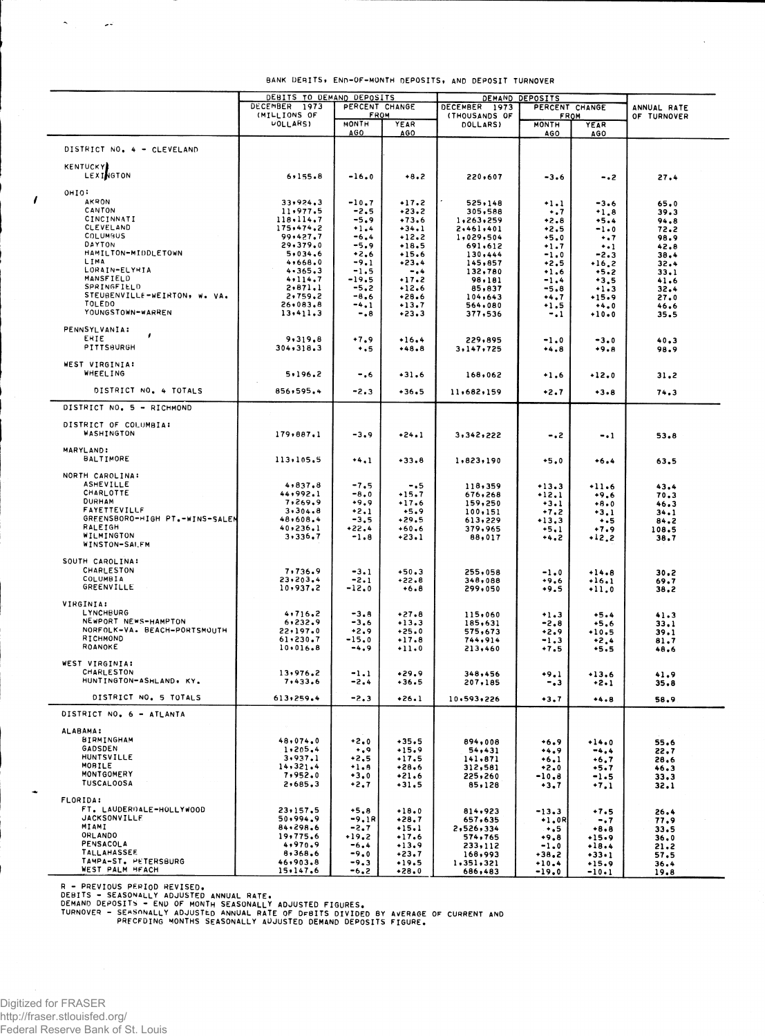|                                                      | DEBITS TO DEMAND DEPOSITS |                                                               |                    | DEMAND DEPOSITS                 |                            |                     |               |
|------------------------------------------------------|---------------------------|---------------------------------------------------------------|--------------------|---------------------------------|----------------------------|---------------------|---------------|
|                                                      | DECEMBER 1973             | PERCENT CHANGE<br>(MILLIONS OF<br><b>FROM</b><br><b>MONTH</b> |                    | DECEMBER 1973<br>PERCENT CHANGE |                            |                     | ANNUAL RATE   |
|                                                      |                           |                                                               |                    | (THOUSANDS OF<br>FROM           |                            |                     | OF TURNOVER   |
|                                                      | <b>UOLLARS</b>            | <b>AGO</b>                                                    | YEAR<br>AGO        | <b>DOLLARS)</b>                 | <b>MONTH</b><br><b>AGO</b> | YEAR<br><b>AGO</b>  |               |
|                                                      |                           |                                                               |                    |                                 |                            |                     |               |
| DISTRICT NO. 4 - CLEVELAND                           |                           |                                                               |                    |                                 |                            |                     |               |
| <b>KENTUCKY</b>                                      |                           |                                                               |                    |                                 |                            |                     |               |
| <b>LEXINGTON</b>                                     | 6, 155.8                  | $-16.0$                                                       | $+8.2$             | 220,607                         | -3.6                       | - • 2               | 27.4          |
| OHIO:                                                |                           |                                                               |                    |                                 |                            |                     |               |
| AKRON                                                | 33,924.3                  | $-10.7$                                                       | $+17.2$            | 525,148                         | $+1.1$                     | -3.6                | 65.0          |
| CANTON                                               | 11,977.5                  | $-2.5$                                                        | $+23.2$            | 305,588                         | $\ddots$                   | $+1.8$              | 39.3          |
| CINCINNATI<br>CLEVELAND                              | 118.114.7<br>175,474.2    | $-5.9$<br>$+1.4$                                              | $+73.6$<br>$+34.1$ | 1,263,259                       | $+2.8$                     | +5.4                | 94.8          |
| COLUMBUS                                             | 99,427.7                  | -6.4                                                          | $+12.2$            | 2,461,401<br>1,029,504          | $+2.5$<br>$+5.0$           | $-1.0$<br>$\ddots$  | 72.2<br>98.9  |
| DAYTON                                               | 29,379.0                  | -5.9                                                          | $+18.5$            | 691,612                         | $+1.7$                     | $+ -1$              | 42.8          |
| HAMILTON-MIDDLETOWN<br>LIMA                          | 5,034.6                   | $+2.6$                                                        | $+15.6$            | 130,444                         | $-1.0$                     | $-2.3$              | 38.4          |
| LORAIN-ELYRIA                                        | 4,668.0<br>4.365.3        | $-9.1$<br>$-1.5$                                              | $+23.4$<br>$-0.4$  | 145,857<br>132,780              | $+2.5$<br>$+1.6$           | $+16,2$<br>$+5.2$   | 32.4<br>33.1  |
| MANSFIELD                                            | 4,114.7                   | $-19.5$                                                       | $+17.2$            | 98,181                          | $-1.4$                     | $+3.5$              | 41.6          |
| SPRINGFIELD                                          | 2,871.1                   | $-5.2$                                                        | $+12.6$            | 85,837                          | -5.8                       | $+1.3$              | 32.4          |
| STEUBENVILLE-WEIRTON, W. VA.<br>TOLEDO               | 2,759.2<br>26,083.8       | $-8.6$<br>-4.1                                                | +28.6<br>$+13.7$   | 104,643<br>564,080              | +4.7                       | $+15.9$             | 27.0          |
| YOUNGSTOWN-WARREN                                    | 13,411,3                  | -.8                                                           | $+23.3$            | 377,536                         | +1.5<br>$-1$               | $+4.0$<br>$+10.0$   | 46.6<br>35.5  |
|                                                      |                           |                                                               |                    |                                 |                            |                     |               |
| PENNSYLVANIA:<br>,<br>ERIE                           |                           |                                                               |                    |                                 |                            |                     |               |
| PITTSBURGH                                           | 9,319.8<br>304, 318.3     | $+7.9$<br>$\ddotsc$                                           | $+16.4$<br>$+48.8$ | 229,895<br>3,147,725            | $-1.0$<br>$+4.8$           | $-3.0$<br>+9.8      | 40.3<br>98.9  |
|                                                      |                           |                                                               |                    |                                 |                            |                     |               |
| WEST VIRGINIA:                                       |                           |                                                               |                    |                                 |                            |                     |               |
| <b>WHEELING</b>                                      | 5.196.2                   | - . 6                                                         | $+31.6$            | 168,062                         | $+1.6$                     | $+12.0$             | 31,2          |
| DISTRICT NO. 4 TOTALS                                | 856,595.4                 | -2.3                                                          | +36.5              | 11,682,159                      | $+2.7$                     | $+3 - 8$            | 74.3          |
| DISTRICT NO. 5 - RICHMOND                            |                           |                                                               |                    |                                 |                            |                     |               |
|                                                      |                           |                                                               |                    |                                 |                            |                     |               |
| DISTRICT OF COLUMBIA:                                |                           |                                                               |                    |                                 |                            |                     |               |
| WASHINGTON                                           | 179,887.1                 | $-3.9$                                                        | +24.1              | 3,342,222                       | -.2                        | $\mathbf{I}$        | 53.8          |
| MARYLAND:                                            |                           |                                                               |                    |                                 |                            |                     |               |
| BALTIMORE                                            | 113,105.5                 | $+4,1$                                                        | $+33.8$            | 1,823,190                       | $+5.0$                     | $+6.4$              | 63.5          |
|                                                      |                           |                                                               |                    |                                 |                            |                     |               |
| NORTH CAROLINA:<br><b>ASHEVILLE</b>                  | 4,837.8                   | $-7.5$                                                        | $-0.5$             | 118,359                         | $+13.3$                    |                     |               |
| CHARL OTTE                                           | 44,992.1                  | $-8.0$                                                        | $+15.7$            | 676,268                         | $+12.1$                    | +11.6<br>$+9.6$     | 43.4<br>70.3  |
| <b>DURHAM</b>                                        | 7,269.9                   | $+9.9$                                                        | $+17.6$            | 159,250                         | $+3.1$                     | $+8.0$              | 46.3          |
| FAYETTEVILLF<br>GREENSBORO-HIGH PT.-WINS-SALEM       | 3.304.8                   | $+2.1$                                                        | $+5.9$             | 100,151                         | $+7.2$                     | $+3.1$              | 34.1          |
| RALEIGH                                              | 48,608.4<br>40,236.1      | $-3.5$<br>+22.4                                               | $+29.5$<br>$+60.6$ | 613,229<br>379,965              | $+13.3$<br>$+5.1$          | $\ddotsc$<br>$+7.9$ | 84.2<br>108.5 |
| WILMINGTON                                           | 3,336.7                   | $-1.8$                                                        | $+23.1$            | 88,017                          | +4.2                       | +12.2               | 38.7          |
| WINSTON-SAI.FM                                       |                           |                                                               |                    |                                 |                            |                     |               |
| SOUTH CAROLINA:                                      |                           |                                                               |                    |                                 |                            |                     |               |
| CHARLESTON                                           | 7,736.9                   | $-3.1$                                                        | $+50.3$            | 255,058                         | $-1.0$                     | $+14.8$             | 30.2          |
| COLUMBIA                                             | 23,203.4                  | $-2.1$                                                        | +22.8              | 348,088                         | +9.6                       | $+16.1$             | 69.7          |
| <b>GREENVILLE</b>                                    | 10,937.2                  | -12.0                                                         | $+6.8$             | 299,050                         | $+9.5$                     | $-11.0$             | 38.2          |
| VIRGINIA:                                            |                           |                                                               |                    |                                 |                            |                     |               |
| <b>LYNCHBURG</b>                                     | 4,716.2                   | -3.8                                                          | $+27.8$            | 115,060                         | $+1.3$                     | $+5.4$              | 41.3          |
| NEWPORT NEWS-HAMPTON<br>NORFOLK-VA. BEACH-PORTSMOUTH | 6,232.9<br>22,197.0       | -3.6                                                          | $+13.3$            | 185,631                         | -2.8                       | $+5.6$              | 33.1          |
| RICHMOND                                             | 61.230.7                  | $+2.9$<br>$-15.0$                                             | $+25.0$<br>$+17.8$ | 575,673<br>744,914              | +2.9<br>-1.3               | $+10.5$<br>$+2.4$   | 39.1<br>81.7  |
| ROANOKE                                              | 10,016.8                  | $-4.9$                                                        | $+11.0$            | 213,460                         | +7.5                       | $+5.5$              | 48.6          |
| WEST VIRGINIA:                                       |                           |                                                               |                    |                                 |                            |                     |               |
| CHARLESTON                                           | 13,976.2                  | -1.1                                                          | $+29.9$            | 348,456                         | +9.1                       | $+13.6$             | 41.9          |
| HUNTINGTON-ASHLAND, KY.                              | 7,433.6                   | -2.4                                                          | $+36.5$            | 207,185                         | -.3                        | $+2.1$              | 35.8          |
| DISTRICT NO. 5 TOTALS                                | 613,259.4                 | $-2.3$                                                        | $+26.1$            |                                 |                            |                     |               |
|                                                      |                           |                                                               |                    | 10,593,226                      | $+3.7$                     | $+4.8$              | 58.9          |
| DISTRICT NO. 6 - ATLANTA                             |                           |                                                               |                    |                                 |                            |                     |               |
| ALABAMA:                                             |                           |                                                               |                    |                                 |                            |                     |               |
| <b>BIRMINGHAM</b>                                    | 48,074.0                  | $+2.0$                                                        | $+35.5$            | 894,008                         | $+6.9$                     | $+14.0$             | 55.6          |
| <b>GADSDEN</b>                                       | 1, 205, 4                 | $+0.9$                                                        | $+15.9$            | 54,431                          | $+4.9$                     | $-4.4$              | 22.7          |
| <b>HUNTSVILLE</b><br>MOBILE                          | 3,937.1<br>14,321.4       | $+2.5$<br>$+1.8$                                              | $+17.5$<br>$+28.6$ | 141,871<br>312,581              | $+6.1$<br>$+2.0$           | $+6.7$<br>$+5.7$    | 28,6          |
| MONTGOMERY                                           | 7,952.0                   | $+3.0$                                                        | $+21.6$            | 225,260                         | -10.8                      | $-1.5$              | 46.3<br>33.3  |
| <b>TUSCALOOSA</b>                                    | 2,685.3                   | $+2.7$                                                        | $+31.5$            | 85,128                          | $+3.7$                     | $+7.1$              | 32.1          |
| FLORIDA:                                             |                           |                                                               |                    |                                 |                            |                     |               |
| FT. LAUDERDALE-HOLLYWOOD                             | 23,157.5                  | $+5.8$                                                        | $+18.0$            | 814,923                         | $-13.3$                    | $+7.5$              | 26.4          |
| <b>JACKSONVILLE</b>                                  | 50,994.9                  | -9.1R                                                         | $+28.7$            | 657,635                         | +1.0R                      | $-0.7$              | 77.9          |
| MIAMI<br>ORLANDO                                     | 84,298.6                  | $-2.7$                                                        | $+15.1$            | 2,526,334                       | $+ .5$                     | $+8.8$              | 33.5          |
| PENSACOLA                                            | 19,775.6<br>4,970.9       | $+19,2$<br>$-6.4$                                             | $+17.6$<br>$+13.9$ | 574,765<br>233,112              | $+9.8$<br>$-1.0$           | $+15.9$<br>$+18.4$  | 36.0          |
| <b>TALLAHASSEE</b>                                   | 8,368.6                   | $-9.0$                                                        | $+23.7$            | 168,993                         | $+38.2$                    | $+33 - 1$           | 21.2<br>57.5  |
| TAMPA-ST. PETERSBURG                                 | 46,903.8                  | $-9.3$                                                        | $+19.5$            | 1,351,321                       | $+10.4$                    | $+15.9$             | 36.4          |
| WEST PALM BFACH                                      | 15, 147.6                 | -6.2                                                          | $+28.0$            | 686,483                         | -19.0                      | $-10.1$             | 19.8          |

 $\overline{a}$ 

R - PREVIOUS PERIOD REVISED.<br>DEBITS - SEASONALLY ADJUSTED ANNUAL RATE.<br>DEMAND DEPOSITS - END OF MONTH SEASONALLY ADJUSTED FIGURES.<br>TURNOVER - SEASONALLY ADJUSTED ANNUAL RATE OF DEBITS DIVIDED BY AVERAGE OF CURRENT AND<br>TURN

 $\sigma_{\rm{eff}}=22$ 

 $\mathbf{r}$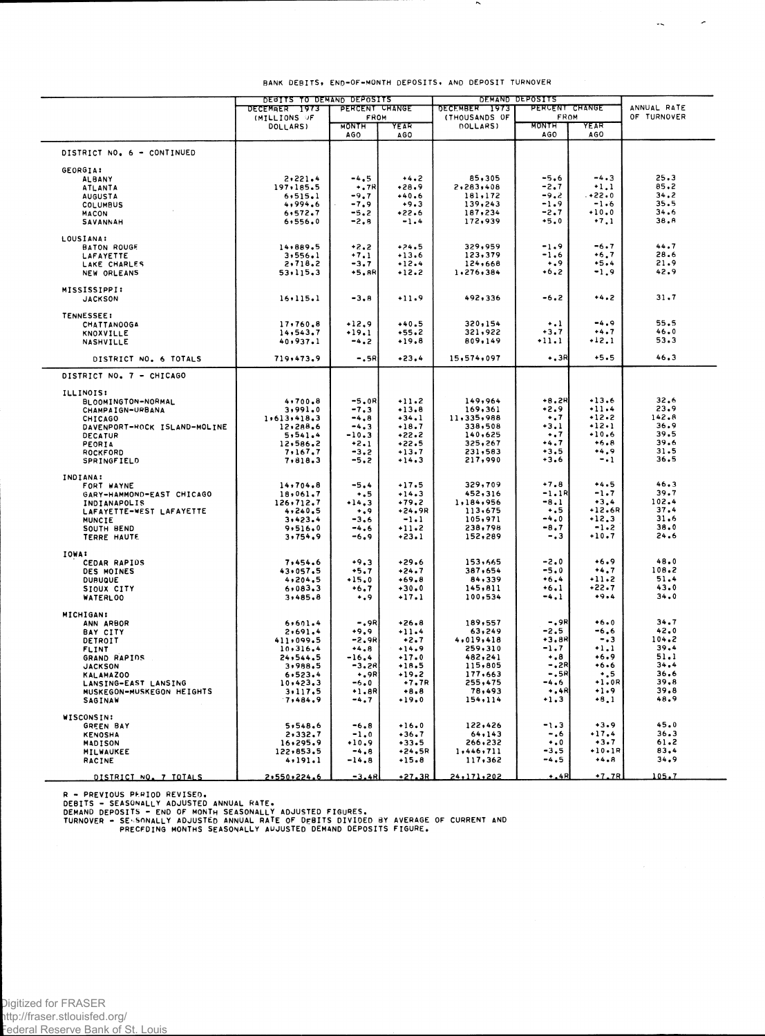|                                      | DEBITS TO DEMAND DEPOSITS     |                     |                                                          | DEMAND DEPOSITS    |                        |                            |              |
|--------------------------------------|-------------------------------|---------------------|----------------------------------------------------------|--------------------|------------------------|----------------------------|--------------|
|                                      | DECEMBER 1973<br>(MILLIONS OF |                     | PERCENT CHANGE<br>DECEMBER 1973<br>FROM<br>(THOUSANDS OF |                    | PERCENT CHANGE<br>FROM | ANNUAL RATE<br>OF TURNOVER |              |
|                                      | DOLLARS)                      | <b>MONTH</b><br>AGO | YEAR<br><b>AGO</b>                                       | DOLLARS)           | MONTH<br>AGO           | YEAR<br>AGO                |              |
| DISTRICT NO. 6 - CONTINUED           |                               |                     |                                                          |                    |                        |                            |              |
| <b>GEORGIA:</b>                      |                               |                     |                                                          |                    |                        |                            |              |
| <b>ALBANY</b>                        | 2,221.4                       | $-4.5$              | $+4.2$                                                   | 85,305             | $-5.6$                 | $-4.3$                     | 25.3         |
| ATLANTA                              | 197,185.5                     | $+$ .7 $R$          | $+28.9$                                                  | 2,283,408          | $-2.7$                 | $+1.1$                     | 85.2         |
| <b>AUGUSTA</b>                       | 6, 515.1                      | $-9.7$              | $+40.6$                                                  | 181,172            | $-9.2$                 | $. + 22 - 0$               | 34.2         |
| COLUMBUS                             | 4,994.6                       | $-7.9$              | $+9.3$                                                   | 139,243            | $-1.9$                 | $-1.6$                     | 35.5         |
| MACON                                | 6, 572.7                      | $-5.2$              | $+22.6$                                                  | 187,234            | $-2.7$                 | $+10.0$                    | 34.6         |
| SAVANNAH                             | 6, 556, 0                     | $-2,8$              | $-1.4$                                                   | 172,939            | $+5.0$                 | $+7.1$                     | 38.A         |
| LOUSIANA:                            |                               |                     |                                                          |                    |                        |                            |              |
| <b>BATON ROUGE</b>                   | 14,889.5                      | $+2.2$              | $+24.5$                                                  | 329,959            | $-1.9$                 | $-6.7$                     | 44.7<br>28.6 |
| LAFAYETTE                            | 3,556.1                       | $+7.1$<br>$-3.7$    | $+13.6$                                                  | 123,379<br>124,668 | $-1.6$<br>$\ddotsc$    | $+6.7$<br>$+5.4$           | 21.9         |
| LAKE CHARLES<br>NEW ORLEANS          | 2,718.2<br>53.115.3           | +5.8R               | $+12.4$<br>+12.2                                         | 1,276,384          | $+6,2$                 | $-1,9$                     | 42.9         |
| <b>MISSISSIPPI:</b>                  |                               |                     |                                                          |                    |                        |                            |              |
| <b>JACKSON</b>                       | 16.115.1                      | $-3,8$              | $+11.9$                                                  | 492,336            | $-6.2$                 | $+4.2$                     | 31.7         |
| <b>TENNESSEE:</b>                    |                               |                     |                                                          |                    |                        |                            |              |
| CHATTANOOGA                          | 17,760.8                      | $+12.9$             | $+40.5$                                                  | 320,154            | $\ddotsc$              | $-4.9$                     | 55.5         |
| KNOXVILLE                            | 14,543.7                      | +19.1               | $+55.2$                                                  | 321,922            | $+3.7$                 | $+4.7$                     | 46.0<br>53.3 |
| <b>NASHVILLE</b>                     | 40,937.1                      | $-4,2$              | $+19.8$                                                  | 809,149            | -11.1                  | $+12.1$                    |              |
| DISTRICT NO. 6 TOTALS                | 719,473.9                     | $-.5R$              | $+23.4$                                                  | 15,574,097         | $+3R$                  | $+5.5$                     | 46.3         |
| DISTRICT NO. 7 - CHICAGO             |                               |                     |                                                          |                    |                        |                            |              |
| <b>ILLINOIS:</b>                     |                               |                     |                                                          |                    |                        |                            |              |
| BLOOMINGTON-NORMAL                   | 4,700.8                       | $-5.0R$             | $+11.2$                                                  | 149,964            | $+8.2R$                | $+13.6$                    | 32.6         |
| CHAMPAIGN-URBANA                     | 3,991.0                       | $-7.3$              | $+13.8$                                                  | 169,361            | +2.9                   | $+11.4$                    | 23.9         |
| CHICAGO                              | 1,613,418.3                   | $-4,8$              | $+34.1$                                                  | 11,335,988         | $\ddotsc$              | $+12.2$                    | 142.8        |
| DAVENPORT-ROCK ISLAND-MOLINE         | 12,288.6                      | $-4.3$              | $+18.7$                                                  | 338,508            | $+3.1$                 | $+12 - 1$<br>$-10.6$       | 36.9<br>39.5 |
| <b>DECATUR</b>                       | 5, 541.4                      | $-10.3$             | $+22.2$                                                  | 140,625            | $\ddotsc$              |                            | 39.6         |
| PEORIA                               | 12,586.2                      | $+2.1$              | $+22.5$                                                  | 325,267<br>231,583 | $+4.7$<br>$+3.5$       | $+6.8$<br>$+4.9$           | 31.5         |
| ROCKFORD<br>SPRINGFIELD              | 7,167.7<br>7,818.3            | $-3.2$<br>$-5.2$    | $+13.7$<br>$+14.3$                                       | 217,990            | $+3.6$                 | $-1$                       | 36.5         |
| INDIANA:                             |                               |                     |                                                          |                    |                        |                            |              |
| FORT WAYNE                           | 14,704.8                      | $-5.4$              | $+17.5$                                                  | 329,709            | $+7.8$                 | $+4.5$                     | 46.3         |
| GARY-HAMMOND-EAST CHICAGO            | 18,061.7                      | $\ddotsc$           | $+14.3$                                                  | 452,316            | $-1.1R$                | $-1.7$                     | 39.7         |
| INDIANAPOLIS                         | 126,712.7                     | $+14.3$             | $+79.2$                                                  | 1,184,956          | $-8.1$                 | $+3.4$                     | 102.4        |
| LAFAYETTE-WEST LAFAYETTE             | 4, 240, 5                     | $^{\ast,9}$         | $+24.9R$                                                 | 113,675            | $\ddotsc$              | $+12.6R$                   | 37.4         |
| MUNCIE                               | 3,423.4                       | -3.6                | $-1.1$                                                   | 105,971            | $-4.0$                 | $+12.3$                    | 31.6         |
| SOUTH BEND                           | 9,516.0                       | $-4.6$              | $+11.2$                                                  | 238,798            | $-8.7$                 | $-1.2$                     | 38.0         |
| TERRE HAUTE                          | 3,754,9                       | $-6.9$              | $+23.1$                                                  | 152,289            | $-0.3$                 | +10.7                      | 24.6         |
| IOWA:                                |                               | $+9.3$              |                                                          | 153,665            | $-2.0$                 | $+6.9$                     | 48.0         |
| <b>CEDAR RAPIDS</b>                  | 7,454.6<br>43,057.5           | $+5.7$              | $+29.6$<br>$+24.7$                                       | 387,654            | $-5.0$                 | $+4.7$                     | 108.2        |
| DES MOINES<br><b>DURUQUE</b>         | 4, 204, 5                     | $+15.0$             | $+69.8$                                                  | 84,339             | $+6.4$                 | $+11.2$                    | 51.4         |
| SIOUX CITY                           | 6,083.3                       | $+6.7$              | $+30.0$                                                  | 145,811            | $+6.1$                 | +22.7                      | 43.0         |
| WATERLOO                             | 3,485.8                       | $+0.9$              | $+17.1$                                                  | 100,534            | $-4.1$                 | $+9.4$                     | 34.0         |
| <b>MICHIGAN:</b>                     |                               |                     |                                                          |                    |                        |                            |              |
| ANN ARBOR                            | 6,601.4                       | $-.9R$              | $+26.8$                                                  | 189,557            | $-0.9R$                | $+6.0$                     | 34.7         |
| <b>BAY CITY</b>                      | 2,691.4                       | $+9.9$              | $+11.4$                                                  | 63,249             | $-2.5$                 | -6.6                       | 42.0         |
| DETROIT                              | 411,099.5                     | -2.9R               | $+2.7$                                                   | 4,019,418          | +3.8R                  | $-0.3$                     | 104.2        |
| <b>FLINT</b>                         | 10,316.4                      | $+4.8$              | $+14.9$                                                  | 259,310            | -1.7                   | $+1.1$                     | 39.4         |
| GRAND RAPIDS                         | 24,544.5                      | $-16.4$             | $+17.0$                                                  | 482,241            | $\ddotsc$              | $+6.9$                     | 51.1         |
| <b>JACKSON</b>                       | 3,988.5                       | -3.2R               | $+18.5$                                                  | 115,805            | –.2R                   | $+6.6$                     | 34.4         |
| KALAMAZ00                            | 6,523.4                       | $+$ .9R             | $+19.2$                                                  | 177,663            | $-.5R$                 | $\cdot$ .5                 | 36.6         |
| LANSING-EAST LANSING                 | 10,423.3                      | $-6.0$              | $+7.7R$                                                  | 255,475            | $-4.6$                 | $+1.0R$<br>$+1.9$          | 39.8<br>39.8 |
| MUSKEGON-MUSKEGON HEIGHTS<br>SAGINAW | 3,117.5<br>7,484,9            | $+1.8R$<br>$-4.7$   | $+8.8$<br>$+19.0$                                        | 78,493<br>154,114  | $+$ .4R<br>$+1.3$      | $+8.1$                     | 48.9         |
| WISCONSIN:                           |                               |                     |                                                          |                    |                        |                            |              |
| <b>GREEN BAY</b>                     | 5,548.6                       | $-6.8$              | $+16.0$                                                  | 122,426            | $-1.3$                 | $+3.9$                     | 45.0         |
| <b>KENOSHA</b>                       | 2,332.7                       | $-1.0$              | $+36.7$                                                  | 64,143             | $-0.6$                 | $+17.4$                    | 36.3         |
| MADISON                              | 16,295.9                      | $+10.9$             | $+33.5$                                                  | 266,232            | $\ddotsc$              | $+3.7$                     | 61.2         |
| MILWAUKEE                            | 122,853.5                     | $-4.8$              | $+24.5R$                                                 | 1,446,711          | -3.5                   | +10•1R                     | 83.4         |
| RACINE                               | 4, 191.1                      | $-14.8$             | $+15.8$                                                  | 117,362            | -4.5                   | $+4.8$                     | 34.9         |
| DISTRICT NO. 7 TOTALS                | 2.550.224.6                   | $-3.4R$             | $+27.3R$                                                 | 24,171,202         | $+4R$                  | $+7.7R$                    | 105.7        |

 $\sim$ 

 $\omega_{\rm c}$  and  $\omega_{\rm c}$ 

R – PREVIOUS PERIOD REVISED.<br>DEBITS – SEASONALLY ADJUSTED ANNUAL RATE.<br>DEMAND DEPOSITS – END OF MONTH SEASONALLY ADJUSTED FIGURES.<br>TURNOVER – SEASONALLY ADJUSTED ANNUAL RATE OF DEBITS DIVIDED BY AVERAGE OF CURRENT AND<br>TURN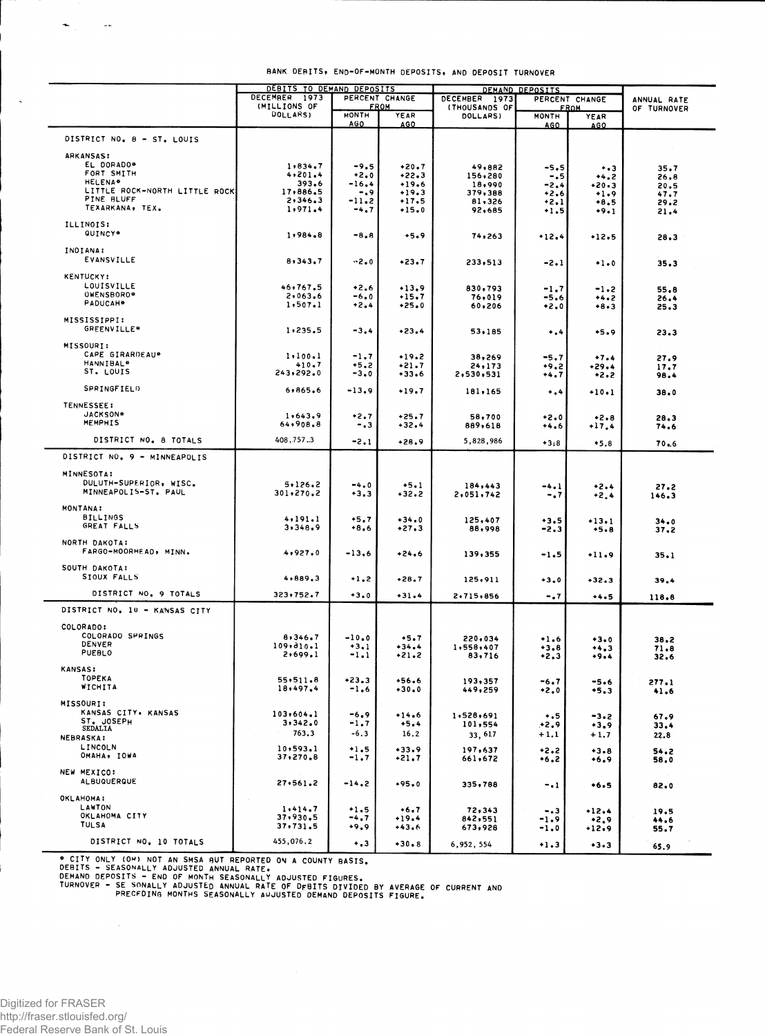|                                                 | DEBITS TO DEMAND DEPOSITS<br>DECEMBER 1973 |                            | PERCENT CHANGE               | DEMAND DEPOSITS<br>DECEMBER 1973<br>PERCENT CHANGE |                      |                            |               |
|-------------------------------------------------|--------------------------------------------|----------------------------|------------------------------|----------------------------------------------------|----------------------|----------------------------|---------------|
|                                                 | (MILLIONS OF<br><b>FROM</b>                |                            | (THOUSANDS OF<br><b>FROM</b> |                                                    |                      | ANNUAL RATE<br>OF TURNOVER |               |
|                                                 | <b>DOLLARS)</b>                            | <b>MONTH</b><br><b>AGO</b> | YEAR<br>AGO                  | DOLLARS)                                           | <b>MONTH</b><br>AGO. | YEAR<br>AGO.               |               |
| DISTRICT NO. 8 - ST. LOUIS                      |                                            |                            |                              |                                                    |                      |                            |               |
| <b>ARKANSAS:</b>                                |                                            |                            |                              |                                                    |                      |                            |               |
| EL DORADO*                                      | 1.834.7                                    | -9.5                       | $+20.7$                      | 49,882                                             | -5.5                 | $^{+.3}$                   | 35.7          |
| FORT SMITH                                      | 4, 201.4                                   | $+2.0$                     | $+22.3$                      | 156,280                                            | $-0.5$               | $+4.2$                     | 26.8          |
| <b>HELENA*</b><br>LITTLE ROCK-NORTH LITTLE ROCK | 393.6                                      | -16.4                      | $+19.6$                      | 18,990                                             | -2.4                 | $+20.3$                    | 20.5          |
| PINE BLUFF                                      | 17,886.5<br>2,346.3                        | -.9<br>-11.2               | $+19.3$<br>$+17.5$           | 379,388                                            | $*2.6$               | $+1.9$                     | 47.7          |
| TEXARKANA, TEX.                                 | 1.971.4                                    | $-4.7$                     | $+15.0$                      | 81,326<br>92,685                                   | $+2.1$<br>$+1.5$     | $+8.5$<br>$+9.1$           | 29.2<br>21,4  |
| ILLINOIS:                                       |                                            |                            |                              |                                                    |                      |                            |               |
| OUINCY*                                         | 1,984.8                                    | $-8.8$                     | $+5.9$                       | 74,263                                             | $+12.4$              | $+12.5$                    | 26.3          |
| INDIANA:                                        |                                            |                            |                              |                                                    |                      |                            |               |
| EVANSVILLE                                      | 8,343.7                                    | $-2.0$                     | $+23.7$                      | 233,513                                            | $-2.1$               | $+1.0$                     | 35.3          |
| <b>KENTUCKY:</b>                                |                                            |                            |                              |                                                    |                      |                            |               |
| LOUISVILLE                                      | 46,767.5                                   | $+2.6$                     | $+13.9$                      | 830,793                                            | $-1.7$               | $-1.2$                     | 55.8          |
| OWENSBORO*                                      | 2,063.6                                    | -6.0                       | $+15.7$                      | 76,019                                             | $-5.6$               | +4.2                       | 26.4          |
| PADUCAH*                                        | 1,507.1                                    | $+2.4$                     | $+25.0$                      | 60,206                                             | $+2.0$               | $+8.3$                     | 25.3          |
| MISSISSIPPI:                                    |                                            |                            |                              |                                                    |                      |                            |               |
| <b>GREENVILLE*</b>                              | 1,235.5                                    | $-3.4$                     | $+23.4$                      | 53,185                                             | $\ddotsc$            | $+5.9$                     | 23.3          |
| MISSOURI:                                       |                                            |                            |                              |                                                    |                      |                            |               |
| CAPE GIRARDEAU*                                 | 1, 100.1                                   | $-1.7$                     | $+19.2$                      | 38,269                                             | $-5.7$               | $+7.4$                     | 27.9          |
| HANNIBAL <sup>4</sup><br>ST. LOUIS              | 410.7                                      | +5.2                       | $+21.7$                      | 24,173                                             | +9.2                 | $+29.4$                    | 17.7          |
|                                                 | 243,292.0                                  | $-3.0$                     | $+33.6$                      | 2,530,531                                          | +4.7                 | $+2.2$                     | 98.4          |
| SPRINGFIELD                                     | 6,865.6                                    | $-13.9$                    | $+19.7$                      | 181,165                                            | $\ddotsc$            | $+10.1$                    | 38.0          |
| <b>TENNESSEE:</b>                               |                                            |                            |                              |                                                    |                      |                            |               |
| JACKSON#                                        | 1,643.9                                    | $+2.7$                     | $+25.7$                      | 58,700                                             | $+2.0$               | $+2.8$                     | 28.3          |
| MEMPHIS                                         | 64,908.8                                   | -.3                        | $+32.4$                      | 889,618                                            | $+4.6$               | $+17.4$                    | 74.6          |
| DISTRICT NO. 8 TOTALS                           | 408,757.3                                  | $-2.1$                     | $+28.9$                      | 5,828,986                                          | $+3:8$               | $*5.8$                     | 70.6          |
| DISTRICT NO. 9 - MINNEAPOLIS                    |                                            |                            |                              |                                                    |                      |                            |               |
| <b>MINNESOTA:</b>                               |                                            |                            |                              |                                                    |                      |                            |               |
| DULUTH-SUPERIOR, WISC.                          | 5.126.2                                    |                            |                              |                                                    |                      |                            |               |
| MINNEAPOLIS-ST. PAUL                            | 301,270.2                                  | $-4.0$<br>$+3.3$           | $+5.1$<br>$+32.2$            | 184,443<br>2,051,742                               | $-4.1$<br>$-0.7$     | +2.4<br>$+2.4$             | 27.2<br>146.3 |
| MONTANA:                                        |                                            |                            |                              |                                                    |                      |                            |               |
| <b>BILLINGS</b>                                 | 4, 191.1                                   | $+5.7$                     | $+34.0$                      | 125,407                                            | $+3.5$               | $+13.1$                    |               |
| GREAT FALLS                                     | 3,348.9                                    | $+8.6$                     | $+27.3$                      | 88,998                                             | $-2.3$               | $+5.8$                     | 34.0<br>37.2  |
| NORTH DAKOTA:                                   |                                            |                            |                              |                                                    |                      |                            |               |
| FARGO-MOORHEAD, MINN.                           | 4,927.0                                    | $-13.6$                    | $+24.6$                      | 139,355                                            | -1.5                 | +11.9                      | 35.1          |
| SOUTH DAKOTA:                                   |                                            |                            |                              |                                                    |                      |                            |               |
| SIOUX FALLS                                     | 4,889,3                                    | $+1.2$                     | $+28.7$                      | 125,911                                            | $+3.0$               | $+32.3$                    | 39.4          |
| DISTRICT NO. 9 TOTALS                           |                                            |                            |                              |                                                    |                      |                            |               |
|                                                 | 323,752.7                                  | $+3.0$                     | $+31.4$                      | 2.715.856                                          | -.7                  | $+4.5$                     | 118.8         |
| DISTRICT NO. 10 - KANSAS CITY                   |                                            |                            |                              |                                                    |                      |                            |               |
| COLORADO:                                       |                                            |                            |                              |                                                    |                      |                            |               |
| COLORADO SPRINGS                                | 8,346.7                                    | $-10.0$                    | $+5.7$                       | 220,034                                            | +1.6                 | $+3.0$                     | 38.2          |
| DENVER<br>PUEBLO                                | 109,310.1                                  | $+3.1$                     | $+34.4$                      | 1,558,407                                          | $+3.8$               | +4.3                       | 71.8          |
|                                                 | 2,699.1                                    | $-1.1$                     | $+21.2$                      | 83,716                                             | $+2.3$               | $+9.4$                     | 32.6          |
| <b>KANSAS:</b>                                  |                                            |                            |                              |                                                    |                      |                            |               |
| TOPEKA<br>WICHITA                               | 55, 511.8                                  | $+23.3$                    | $+56.6$                      | 193,357                                            | -6.7                 | -5.6                       | 277.1         |
|                                                 | 18,497.4                                   | $-1.6$                     | $+30.0$                      | 449,259                                            | $+2.0$               | $+5.3$                     | 41.6          |
| <b>MISSOURI:</b>                                |                                            |                            |                              |                                                    |                      |                            |               |
| KANSAS CITY. KANSAS<br>ST. JOSEPH               | 103,604.1                                  | $-6.9$                     | $+14.6$                      | 1,528,691                                          | $\ddotsc$            | $-3.2$                     | 67.9          |
| <b>SEDALIA</b>                                  | 3,342.0                                    | $-1.7$                     | $+5.4$                       | 101,554                                            | .∗2.9                | $+3.9$                     | 33.4          |
| <b>NEBRASKA:</b>                                | 763.3                                      | $-6.3$                     | 16.2                         | 33, 617                                            | $+1.1$               | $+1.7$                     | 22.8          |
| <b>LINCOLN</b>                                  | 10, 593.1                                  | $+1.5$                     | $+33.9$                      | 197,637                                            | +2.2                 | $+3.8$                     | 54.2          |
| OMAHA, IOWA                                     | 37,270.8                                   | $-1.7$                     | $+21.7$                      | 661,672                                            | $+6.2$               | $+6.9$                     | 58.0          |
| NEW MEXICO:                                     |                                            |                            |                              |                                                    |                      |                            |               |
| <b>ALBUQUERQUE</b>                              | 27,561.2                                   | $-14.2$                    | $+95.0$                      | 335,788                                            | -. 1                 | $+6.5$                     | 82.0          |
| OKLAHOMA:                                       |                                            |                            |                              |                                                    |                      |                            |               |
| LAWTON                                          | 1.414.7                                    | $+1.5$                     | $+6.7$                       | 72,343                                             | $-.3$                | +12.4                      | 19.5          |
| OKLAHOMA CITY                                   | 37,930.5                                   | -4.7                       | $+19.4$                      | 842,551                                            | -1.9                 | $+2.9$                     | 44.6          |
| <b>TULSA</b>                                    | 37,731.5                                   | +9.9                       | $+43.6$                      | 673,928                                            | $-1.0$               | $+12.9$                    | 55.7          |
| DISTRICT NO. 10 TOTALS                          | 455,076.2                                  | $\ddotsc$                  | $+30.8$                      | 6,952,554                                          | $+1.3$               | $+3.3$                     | 65.9          |
|                                                 |                                            |                            |                              |                                                    |                      |                            |               |

\* CITY ONLY (O\*) NOT AN SMSA BUT REPORTED ON A COUNTY BASIS.<br>DEBITS - SEASONALLY ADJUSTED ANNUAL RATE.<br>DEMAND DEPOSITS - END OF MONTH SEASONALLY ADJUSTED FIGURES.<br>TURNOVER - SE SONALLY ADJUSTED ANNUAL RATE OF DEBITS DIVIDE

 $\sim$ 

 $\star$  .

 $\lambda$ 

 $\sim$